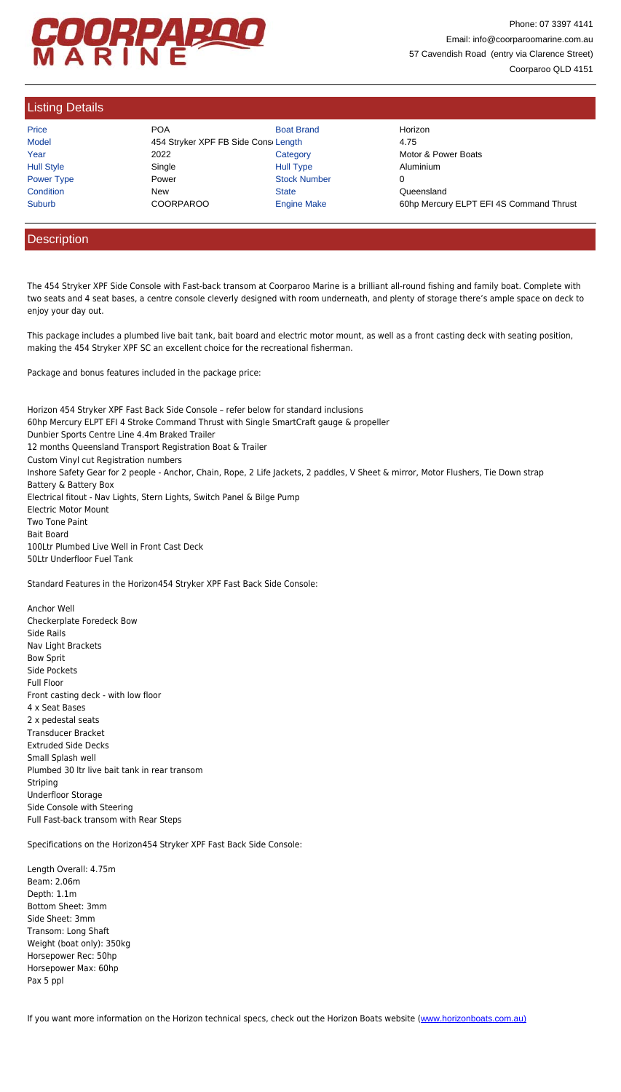Horizon 454 Stryker XPF Fast Back Side Console – refer below for standard inclusions 60hp Mercury ELPT EFI 4 Stroke Command Thrust with Single SmartCraft gauge & propeller Dunbier Sports Centre Line 4.4m Braked Trailer 12 months Queensland Transport Registration Boat & Trailer Custom Vinyl cut Registration numbers Inshore Safety Gear for 2 people - Anchor, Chain, Rope, 2 Life Jackets, 2 paddles, V Sheet & mirror, Motor Flushers, Tie Down strap Battery & Battery Box Electrical fitout - Nav Lights, Stern Lights, Switch Panel & Bilge Pump Electric Motor Mount Two Tone Paint Bait Board 100Ltr Plumbed Live Well in Front Cast Deck 50Ltr Underfloor Fuel Tank

Standard Features in the Horizon454 Stryker XPF Fast Back Side Console:

Anchor Well Checkerplate Foredeck Bow Side Rails Nav Light Brackets Bow Sprit Side Pockets Full Floor Front casting deck - with low floor 4 x Seat Bases 2 x pedestal seats Transducer Bracket Extruded Side Decks Small Splash well Plumbed 30 ltr live bait tank in rear transom Striping Underfloor Storage Side Console with Steering Full Fast-back transom with Rear Steps

Specifications on the Horizon454 Stryker XPF Fast Back Side Console:

Length Overall: 4.75m Beam: 2.06m Depth: 1.1m Bottom Sheet: 3mm Side Sheet: 3mm Transom: Long Shaft Weight (boat only): 350kg Horsepower Rec: 50hp Horsepower Max: 60hp Pax 5 ppl

If you want more information on the Horizon technical specs, check out the Horizon Boats website (www.horizonboats.com.au)